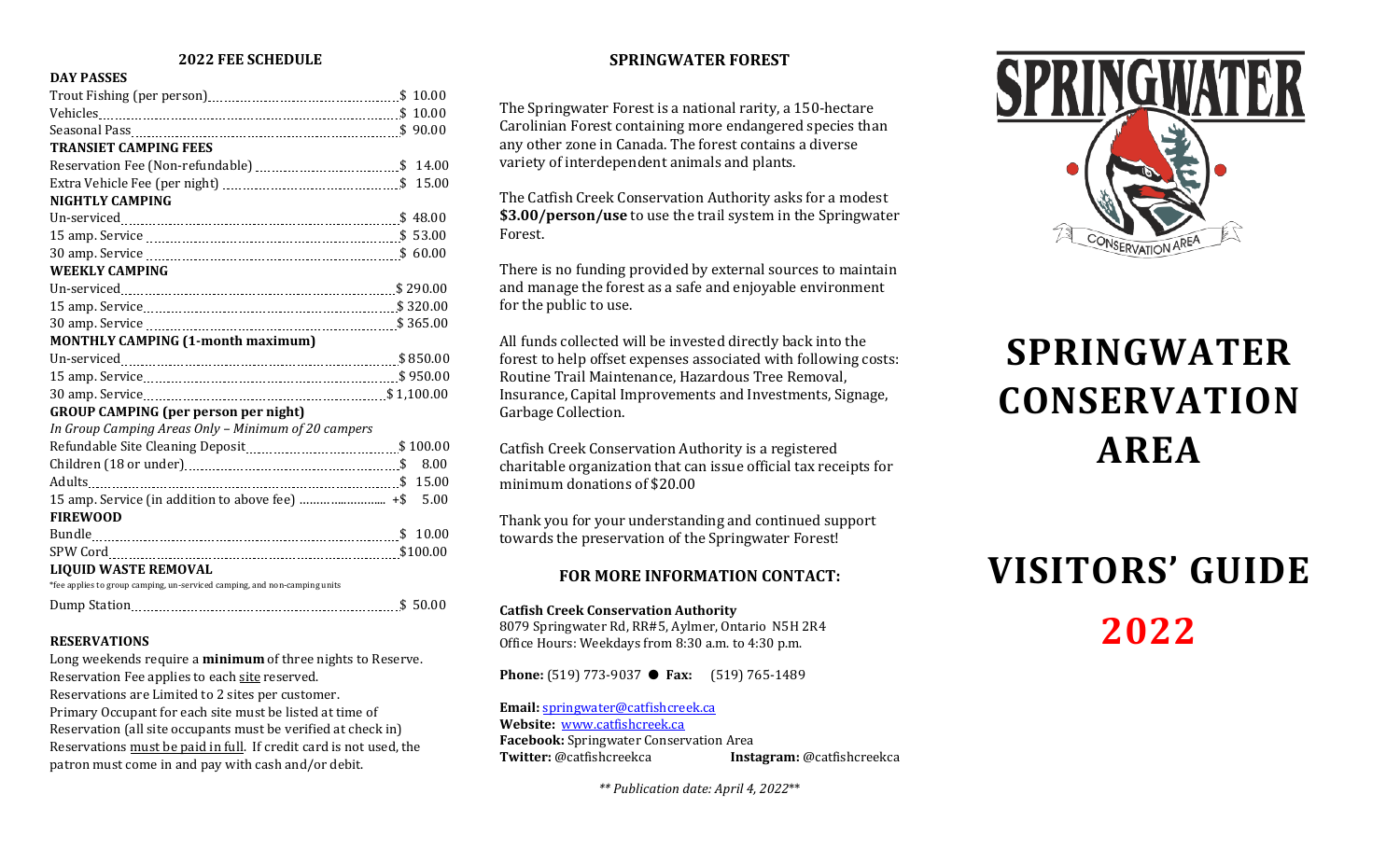# **2022 FEE SCHEDULE**

### **DAY PASSES**

| <b>TRANSIET CAMPING FEES</b>                                              |      |
|---------------------------------------------------------------------------|------|
|                                                                           |      |
|                                                                           |      |
| <b>NIGHTLY CAMPING</b>                                                    |      |
|                                                                           |      |
|                                                                           |      |
|                                                                           |      |
| <b>WEEKLY CAMPING</b>                                                     |      |
|                                                                           |      |
|                                                                           |      |
|                                                                           |      |
| <b>MONTHLY CAMPING (1-month maximum)</b>                                  |      |
|                                                                           |      |
|                                                                           |      |
|                                                                           |      |
| <b>GROUP CAMPING (per person per night)</b>                               |      |
| In Group Camping Areas Only - Minimum of 20 campers                       |      |
|                                                                           |      |
|                                                                           | 8.00 |
|                                                                           |      |
|                                                                           |      |
| <b>FIREWOOD</b>                                                           |      |
|                                                                           |      |
|                                                                           |      |
| <b>LIQUID WASTE REMOVAL</b>                                               |      |
| *fee applies to group camping, un-serviced camping, and non-camping units |      |
|                                                                           |      |
|                                                                           |      |

#### **RESERVATIONS**

Long weekends require a **minimum** of three nights to Reserve. Reservation Fee applies to each site reserved. Reservations are Limited to 2 sites per customer. Primary Occupant for each site must be listed at time of Reservation (all site occupants must be verified at check in) Reservations must be paid in full. If credit card is not used, the patron must come in and pay with cash and/or debit.

# **SPRINGWATER FOREST**

The Springwater Forest is a national rarity, a 150-hectare Carolinian Forest containing more endangered species than any other zone in Canada. The forest contains a diverse variety of interdependent animals and plants.

The Catfish Creek Conservation Authority asks for a modest **\$3.00/person/use** to use the trail system in the Springwater Forest.

There is no funding provided by external sources to maintain and manage the forest as a safe and enjoyable environment for the public to use.

All funds collected will be invested directly back into the forest to help offset expenses associated with following costs: Routine Trail Maintenance, Hazardous Tree Removal, Insurance, Capital Improvements and Investments, Signage, Garbage Collection.

Catfish Creek Conservation Authority is a registered charitable organization that can issue official tax receipts for minimum donations of \$20.00

Thank you for your understanding and continued support towards the preservation of the Springwater Forest!

# **FOR MORE INFORMATION CONTACT:**

#### **Catfish Creek Conservation Authority**

8079 Springwater Rd, RR#5, Aylmer, Ontario N5H 2R4 Office Hours: Weekdays from 8:30 a.m. to 4:30 p.m.

**Phone:** (519) 773-9037 ● **Fax:** (519) 765-1489

**Email:** [springwater@catfishcreek.ca](mailto:springwater@catfishcreek.ca) **Website:** [www.catfishcreek.ca](http://www.execulink.com/%7Eccca) **Facebook:** Springwater Conservation Area<br> **Twitter:** @catfishcreekca **Inst Twitter:** @catfishcreekca **Instagram:** @catfishcreekca

*\*\* Publication date: April 4, 2022*\*\*



# **SPRINGWATER CONSERVATION AREA**

# **VISITORS' GUIDE 2022**